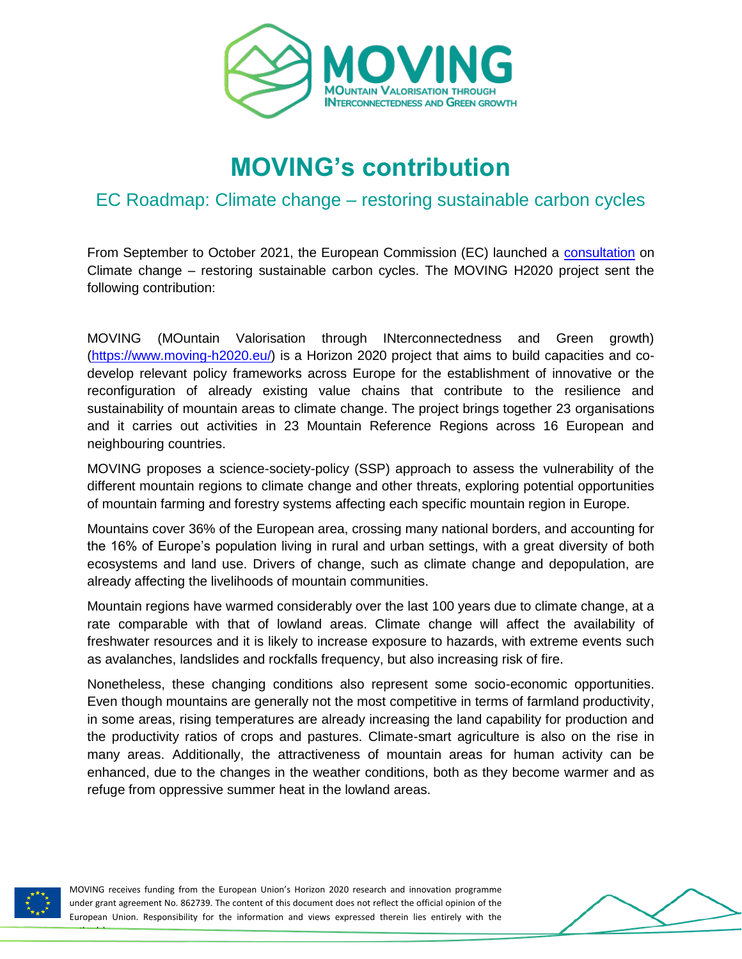

# **MOVING's contribution**

### EC Roadmap: Climate change – restoring sustainable carbon cycles

From September to October 2021, the European Commission (EC) launched a [consultation](https://ec.europa.eu/info/law/better-regulation/have-your-say/initiatives/13066-Climate-change-restoring-sustainable-carbon-cycles_en) on Climate change – restoring sustainable carbon cycles. The MOVING H2020 project sent the following contribution:

MOVING (MOuntain Valorisation through INterconnectedness and Green growth) [\(https://www.moving-h2020.eu/\)](https://www.moving-h2020.eu/) is a Horizon 2020 project that aims to build capacities and codevelop relevant policy frameworks across Europe for the establishment of innovative or the reconfiguration of already existing value chains that contribute to the resilience and sustainability of mountain areas to climate change. The project brings together 23 organisations and it carries out activities in 23 Mountain Reference Regions across 16 European and neighbouring countries.

MOVING proposes a science-society-policy (SSP) approach to assess the vulnerability of the different mountain regions to climate change and other threats, exploring potential opportunities of mountain farming and forestry systems affecting each specific mountain region in Europe.

Mountains cover 36% of the European area, crossing many national borders, and accounting for the 16% of Europe's population living in rural and urban settings, with a great diversity of both ecosystems and land use. Drivers of change, such as climate change and depopulation, are already affecting the livelihoods of mountain communities.

Mountain regions have warmed considerably over the last 100 years due to climate change, at a rate comparable with that of lowland areas. Climate change will affect the availability of freshwater resources and it is likely to increase exposure to hazards, with extreme events such as avalanches, landslides and rockfalls frequency, but also increasing risk of fire.

Nonetheless, these changing conditions also represent some socio-economic opportunities. Even though mountains are generally not the most competitive in terms of farmland productivity, in some areas, rising temperatures are already increasing the land capability for production and the productivity ratios of crops and pastures. Climate-smart agriculture is also on the rise in many areas. Additionally, the attractiveness of mountain areas for human activity can be enhanced, due to the changes in the weather conditions, both as they become warmer and as refuge from oppressive summer heat in the lowland areas.



author(s).

MOVING receives funding from the European Union's Horizon 2020 research and innovation programme under grant agreement No. 862739. The content of this document does not reflect the official opinion of the European Union. Responsibility for the information and views expressed therein lies entirely with the

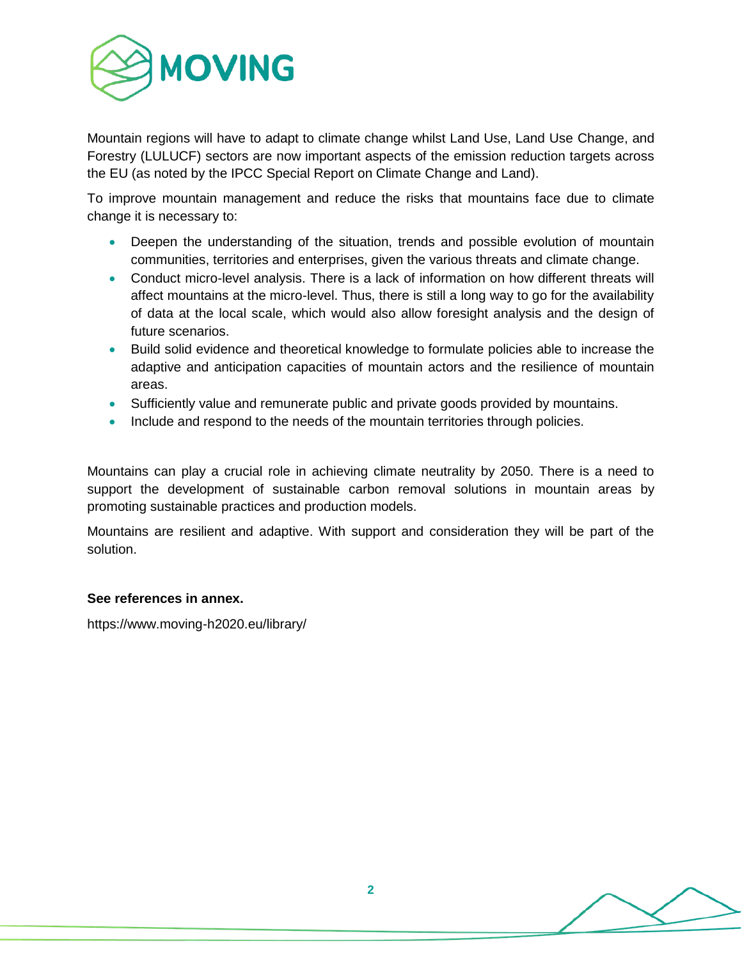

Mountain regions will have to adapt to climate change whilst Land Use, Land Use Change, and Forestry (LULUCF) sectors are now important aspects of the emission reduction targets across the EU (as noted by the IPCC Special Report on Climate Change and Land).

To improve mountain management and reduce the risks that mountains face due to climate change it is necessary to:

- Deepen the understanding of the situation, trends and possible evolution of mountain communities, territories and enterprises, given the various threats and climate change.
- Conduct micro-level analysis. There is a lack of information on how different threats will affect mountains at the micro-level. Thus, there is still a long way to go for the availability of data at the local scale, which would also allow foresight analysis and the design of future scenarios.
- Build solid evidence and theoretical knowledge to formulate policies able to increase the adaptive and anticipation capacities of mountain actors and the resilience of mountain areas.
- Sufficiently value and remunerate public and private goods provided by mountains.
- Include and respond to the needs of the mountain territories through policies.

Mountains can play a crucial role in achieving climate neutrality by 2050. There is a need to support the development of sustainable carbon removal solutions in mountain areas by promoting sustainable practices and production models.

Mountains are resilient and adaptive. With support and consideration they will be part of the solution.

#### **See references in annex.**

https://www.moving-h2020.eu/library/

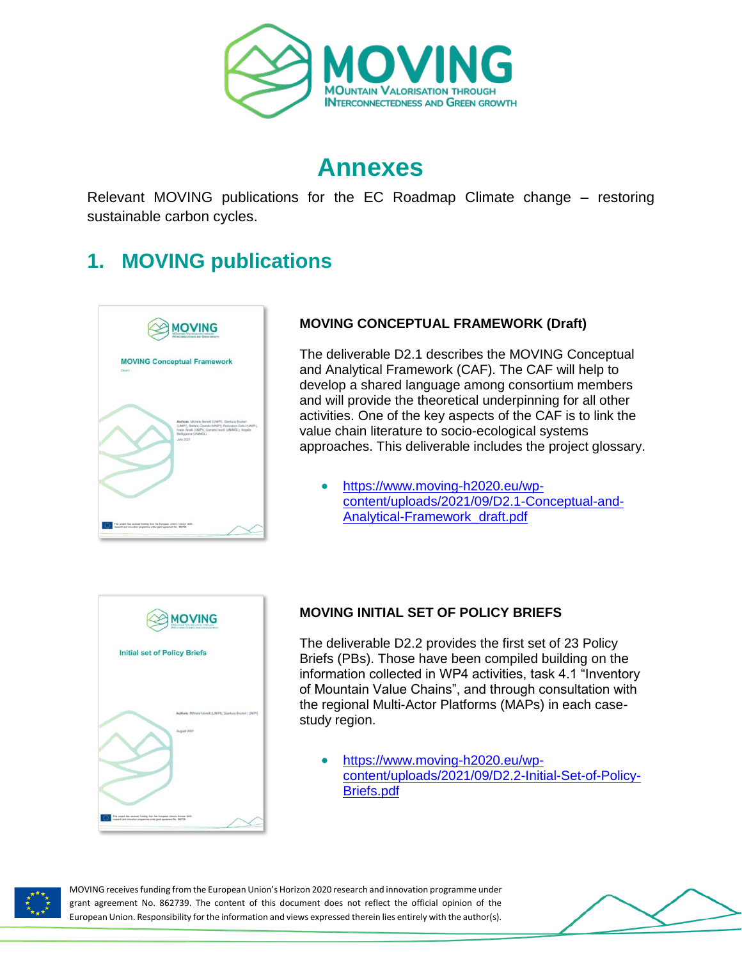

## **Annexes**

Relevant MOVING publications for the EC Roadmap Climate change – restoring sustainable carbon cycles.

## **1. MOVING publications**



#### **MOVING CONCEPTUAL FRAMEWORK (Draft)**

The deliverable D2.1 describes the MOVING Conceptual and Analytical Framework (CAF). The CAF will help to develop a shared language among consortium members and will provide the theoretical underpinning for all other activities. One of the key aspects of the CAF is to link the value chain literature to socio-ecological systems approaches. This deliverable includes the project glossary.

 [https://www.moving-h2020.eu/wp](https://www.moving-h2020.eu/wp-content/uploads/2021/09/D2.1-Conceptual-and-Analytical-Framework_draft.pdf)[content/uploads/2021/09/D2.1-Conceptual-and-](https://www.moving-h2020.eu/wp-content/uploads/2021/09/D2.1-Conceptual-and-Analytical-Framework_draft.pdf)[Analytical-Framework\\_draft.pdf](https://www.moving-h2020.eu/wp-content/uploads/2021/09/D2.1-Conceptual-and-Analytical-Framework_draft.pdf)



#### **MOVING INITIAL SET OF POLICY BRIEFS**

The deliverable D2.2 provides the first set of 23 Policy Briefs (PBs). Those have been compiled building on the information collected in WP4 activities, task 4.1 "Inventory of Mountain Value Chains", and through consultation with the regional Multi-Actor Platforms (MAPs) in each casestudy region.

 [https://www.moving-h2020.eu/wp](https://www.moving-h2020.eu/wp-content/uploads/2021/09/D2.2-Initial-Set-of-Policy-Briefs.pdf)[content/uploads/2021/09/D2.2-Initial-Set-of-Policy-](https://www.moving-h2020.eu/wp-content/uploads/2021/09/D2.2-Initial-Set-of-Policy-Briefs.pdf)[Briefs.pdf](https://www.moving-h2020.eu/wp-content/uploads/2021/09/D2.2-Initial-Set-of-Policy-Briefs.pdf)



MOVING receives funding from the European Union's Horizon 2020 research and innovation programme under grant agreement No. 862739. The content of this document does not reflect the official opinion of the European Union. Responsibility for the information and views expressed therein lies entirely with the author(s).

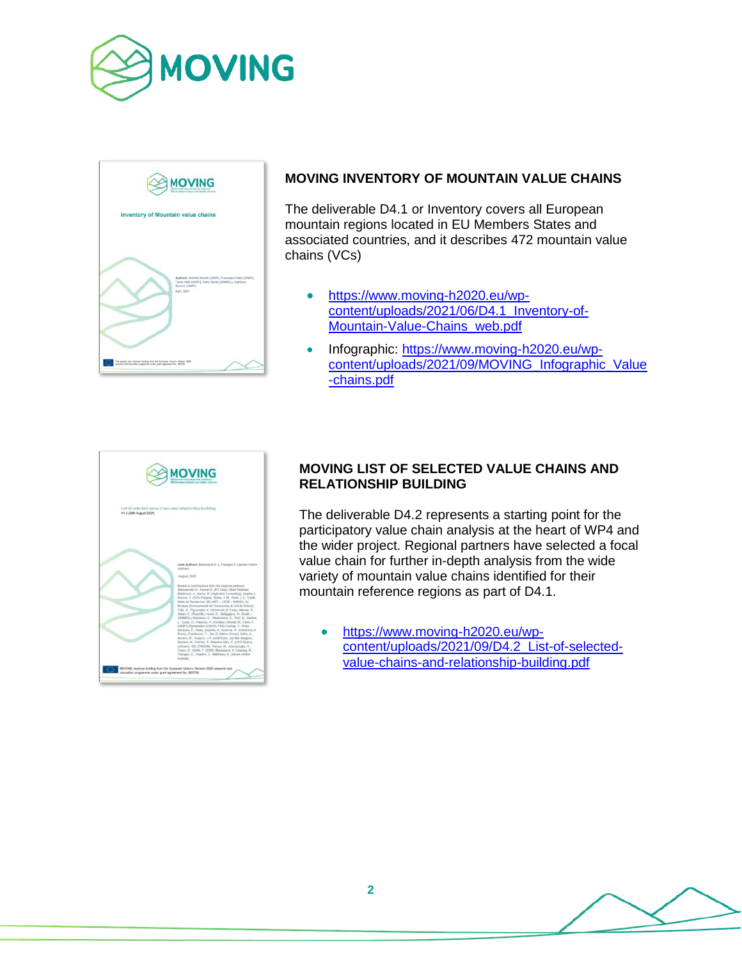



#### **MOVING INVENTORY OF MOUNTAIN VALUE CHAINS**

The deliverable D4.1 or Inventory covers all European mountain regions located in EU Members States and associated countries, and it describes 472 mountain value chains (VCs)

- [https://www.moving-h2020.eu/wp](https://www.moving-h2020.eu/wp-content/uploads/2021/06/D4.1_Inventory-of-Mountain-Value-Chains_web.pdf)[content/uploads/2021/06/D4.1\\_Inventory-of-](https://www.moving-h2020.eu/wp-content/uploads/2021/06/D4.1_Inventory-of-Mountain-Value-Chains_web.pdf)[Mountain-Value-Chains\\_web.pdf](https://www.moving-h2020.eu/wp-content/uploads/2021/06/D4.1_Inventory-of-Mountain-Value-Chains_web.pdf)
- Infographic: [https://www.moving-h2020.eu/wp](https://www.moving-h2020.eu/wp-content/uploads/2021/09/MOVING_Infographic_Value-chains.pdf)content/uploads/2021/09/MOVING Infographic Value [-chains.pdf](https://www.moving-h2020.eu/wp-content/uploads/2021/09/MOVING_Infographic_Value-chains.pdf)



#### **MOVING LIST OF SELECTED VALUE CHAINS AND RELATIONSHIP BUILDING**

The deliverable D4.2 represents a starting point for the participatory value chain analysis at the heart of WP4 and the wider project. Regional partners have selected a focal value chain for further in-depth analysis from the wide variety of mountain value chains identified for their mountain reference regions as part of D4.1.

• [https://www.moving-h2020.eu/wp](https://www.moving-h2020.eu/wp-content/uploads/2021/09/D4.2_List-of-selected-value-chains-and-relationship-building.pdf)[content/uploads/2021/09/D4.2\\_List-of-selected](https://www.moving-h2020.eu/wp-content/uploads/2021/09/D4.2_List-of-selected-value-chains-and-relationship-building.pdf)[value-chains-and-relationship-building.pdf](https://www.moving-h2020.eu/wp-content/uploads/2021/09/D4.2_List-of-selected-value-chains-and-relationship-building.pdf)